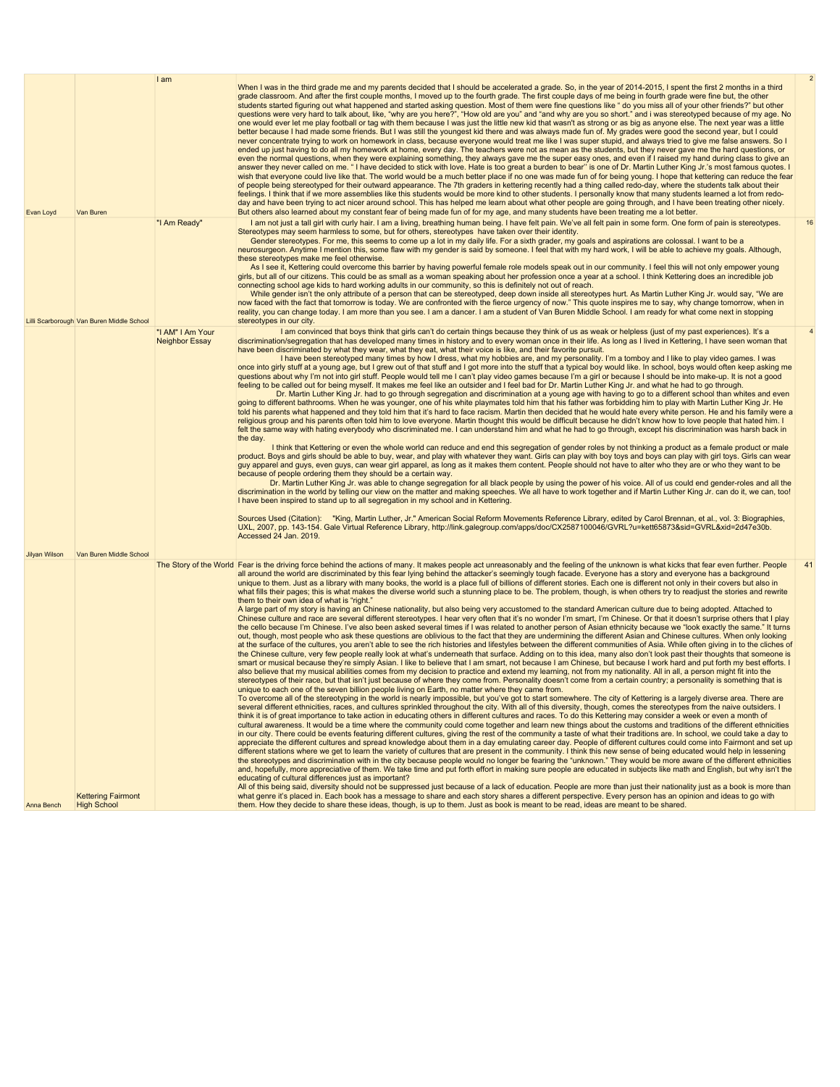|                                                      | I am                                      | When I was in the third grade me and my parents decided that I should be accelerated a grade. So, in the year of 2014-2015, I spent the first 2 months in a third<br>grade classroom. And after the first couple months, I moved up to the fourth grade. The first couple days of me being in fourth grade were fine but, the other<br>students started figuring out what happened and started asking question. Most of them were fine questions like " do you miss all of your other friends?" but other<br>questions were very hard to talk about, like, "why are you here?", "How old are you" and "and why are you so short." and i was stereotyped because of my age. No<br>one would ever let me play football or tag with them because I was just the little new kid that wasn't as strong or as big as anyone else. The next year was a little<br>better because I had made some friends. But I was still the youngest kid there and was always made fun of. My grades were good the second year, but I could<br>never concentrate trying to work on homework in class, because everyone would treat me like I was super stupid, and always tried to give me false answers. So I<br>ended up just having to do all my homework at home, every day. The teachers were not as mean as the students, but they never gave me the hard questions, or<br>even the normal questions, when they were explaining something, they always gave me the super easy ones, and even if I raised my hand during class to give an<br>answer they never called on me. "I have decided to stick with love. Hate is too great a burden to bear" is one of Dr. Martin Luther King Jr.'s most famous quotes. I<br>wish that everyone could live like that. The world would be a much better place if no one was made fun of for being young. I hope that kettering can reduce the fear<br>of people being stereotyped for their outward appearance. The 7th graders in kettering recently had a thing called redo-day, where the students talk about their<br>feelings. I think that if we more assemblies like this students would be more kind to other students. I personally know that many students learned a lot from redo-<br>day and have been trying to act nicer around school. This has helped me learn about what other people are going through, and I have been treating other nicely.<br>But others also learned about my constant fear of being made fun of for my age, and many students have been treating me a lot better.                                                                                                                                                                                                                                                                                                                                                                                                                                                                                                                                                                                                                                                                                                                                                                                                                                                                                                                                                                                                                                                                                                                                                                                                                                                                                                                                                                                                                                                                                                                                                                                                                                                                                                                                                                                                                                                                                                                                                                                                               |
|------------------------------------------------------|-------------------------------------------|-----------------------------------------------------------------------------------------------------------------------------------------------------------------------------------------------------------------------------------------------------------------------------------------------------------------------------------------------------------------------------------------------------------------------------------------------------------------------------------------------------------------------------------------------------------------------------------------------------------------------------------------------------------------------------------------------------------------------------------------------------------------------------------------------------------------------------------------------------------------------------------------------------------------------------------------------------------------------------------------------------------------------------------------------------------------------------------------------------------------------------------------------------------------------------------------------------------------------------------------------------------------------------------------------------------------------------------------------------------------------------------------------------------------------------------------------------------------------------------------------------------------------------------------------------------------------------------------------------------------------------------------------------------------------------------------------------------------------------------------------------------------------------------------------------------------------------------------------------------------------------------------------------------------------------------------------------------------------------------------------------------------------------------------------------------------------------------------------------------------------------------------------------------------------------------------------------------------------------------------------------------------------------------------------------------------------------------------------------------------------------------------------------------------------------------------------------------------------------------------------------------------------------------------------------------------------------------------------------------------------------------------------------------------------------------------------------------------------------------------------------------------------------------------------------------------------------------------------------------------------------------------------------------------------------------------------------------------------------------------------------------------------------------------------------------------------------------------------------------------------------------------------------------------------------------------------------------------------------------------------------------------------------------------------------------------------------------------------------------------------------------------------------------------------------------------------------------------------------------------------------------------------------------------------------------------------------------------------------------------------------------------------------------------------------------------------------------------------------------------------------------------------------------------------------------------------------------------------------------------------------------------------------------------------------------------------------------------------------------------------------------------------------------------------------------------------------------------------------------------------------------------------------------------------------------------------------------------------------------------------------------------------------------------------------------------------------------------------------------------------------------------------------------------------------------------------------------------------------------------------------------------------------------------------|
| Lilli Scarborough Van Buren Middle School            | "I Am Ready"                              | I am not just a tall girl with curly hair. I am a living, breathing human being. I have felt pain. We've all felt pain in some form. One form of pain is stereotypes.<br>Stereotypes may seem harmless to some, but for others, stereotypes have taken over their identity.<br>Gender stereotypes. For me, this seems to come up a lot in my daily life. For a sixth grader, my goals and aspirations are colossal. I want to be a<br>neurosurgeon. Anytime I mention this, some flaw with my gender is said by someone. I feel that with my hard work, I will be able to achieve my goals. Although,<br>these stereotypes make me feel otherwise.<br>As I see it, Kettering could overcome this barrier by having powerful female role models speak out in our community. I feel this will not only empower young<br>girls, but all of our citizens. This could be as small as a woman speaking about her profession once a year at a school. I think Kettering does an incredible job<br>connecting school age kids to hard working adults in our community, so this is definitely not out of reach.<br>While gender isn't the only attribute of a person that can be stereotyped, deep down inside all stereotypes hurt. As Martin Luther King Jr. would say, "We are<br>now faced with the fact that tomorrow is today. We are confronted with the fierce urgency of now." This quote inspires me to say, why change tomorrow, when in<br>reality, you can change today. I am more than you see. I am a dancer. I am a student of Van Buren Middle School. I am ready for what come next in stopping<br>stereotypes in our city.                                                                                                                                                                                                                                                                                                                                                                                                                                                                                                                                                                                                                                                                                                                                                                                                                                                                                                                                                                                                                                                                                                                                                                                                                                                                                                                                                                                                                                                                                                                                                                                                                                                                                                                                                                                                                                                                                                                                                                                                                                                                                                                                                                                                                                                                                                                                                                                                                                                                                                                                                                                                                                                                                                                                                                                                                                                                                                          |
|                                                      | "I AM" I Am Your<br><b>Neighbor Essay</b> | I am convinced that boys think that girls can't do certain things because they think of us as weak or helpless (just of my past experiences). It's a<br>discrimination/segregation that has developed many times in history and to every woman once in their life. As long as I lived in Kettering, I have seen woman that<br>have been discriminated by what they wear, what they eat, what their voice is like, and their favorite pursuit.<br>I have been stereotyped many times by how I dress, what my hobbies are, and my personality. I'm a tomboy and I like to play video games. I was<br>once into girly stuff at a young age, but I grew out of that stuff and I got more into the stuff that a typical boy would like. In school, boys would often keep asking me<br>questions about why I'm not into girl stuff. People would tell me I can't play video games because I'm a girl or because I should be into make-up. It is not a good<br>feeling to be called out for being myself. It makes me feel like an outsider and I feel bad for Dr. Martin Luther King Jr. and what he had to go through.<br>Dr. Martin Luther King Jr. had to go through segregation and discrimination at a young age with having to go to a different school than whites and even<br>going to different bathrooms. When he was younger, one of his white playmates told him that his father was forbidding him to play with Martin Luther King Jr. He<br>told his parents what happened and they told him that it's hard to face racism. Martin then decided that he would hate every white person. He and his family were a<br>religious group and his parents often told him to love everyone. Martin thought this would be difficult because he didn't know how to love people that hated him. I<br>felt the same way with hating everybody who discriminated me. I can understand him and what he had to go through, except his discrimination was harsh back in<br>the day.<br>I think that Kettering or even the whole world can reduce and end this segregation of gender roles by not thinking a product as a female product or male<br>product. Boys and girls should be able to buy, wear, and play with whatever they want. Girls can play with boy toys and boys can play with girl toys. Girls can wear<br>guy apparel and guys, even guys, can wear girl apparel, as long as it makes them content. People should not have to alter who they are or who they want to be<br>because of people ordering them they should be a certain way.<br>Dr. Martin Luther King Jr. was able to change segregation for all black people by using the power of his voice. All of us could end gender-roles and all the<br>discrimination in the world by telling our view on the matter and making speeches. We all have to work together and if Martin Luther King Jr. can do it, we can, too!<br>I have been inspired to stand up to all segregation in my school and in Kettering.<br>Sources Used (Citation): "King, Martin Luther, Jr." American Social Reform Movements Reference Library, edited by Carol Brennan, et al., vol. 3: Biographies,<br>UXL, 2007, pp. 143-154. Gale Virtual Reference Library, http://link.galegroup.com/apps/doc/CX2587100046/GVRL?u=kett65873&sid=GVRL&xid=2d47e30b.<br>Accessed 24 Jan. 2019.                                                                                                                                                                                                                                                                                                                                                                                                                                                                                                                                                                                                                                                                                                                                                                                                                                                                                                                                                                                                                                                                                                                                                                                                                |
| Van Buren Middle School<br><b>Kettering Fairmont</b> |                                           | The Story of the World Fear is the driving force behind the actions of many. It makes people act unreasonably and the feeling of the unknown is what kicks that fear even further. People<br>all around the world are discriminated by this fear lying behind the attacker's seemingly tough facade. Everyone has a story and everyone has a background<br>unique to them. Just as a library with many books, the world is a place full of billions of different stories. Each one is different not only in their covers but also in<br>what fills their pages; this is what makes the diverse world such a stunning place to be. The problem, though, is when others try to readjust the stories and rewrite<br>them to their own idea of what is "right."<br>A large part of my story is having an Chinese nationality, but also being very accustomed to the standard American culture due to being adopted. Attached to<br>Chinese culture and race are several different stereotypes. I hear very often that it's no wonder I'm smart, I'm Chinese. Or that it doesn't surprise others that I play<br>the cello because I'm Chinese. I've also been asked several times if I was related to another person of Asian ethnicity because we "look exactly the same." It turns<br>out, though, most people who ask these questions are oblivious to the fact that they are undermining the different Asian and Chinese cultures. When only looking<br>at the surface of the cultures, you aren't able to see the rich histories and lifestyles between the different communities of Asia. While often giving in to the cliches of<br>the Chinese culture, very few people really look at what's underneath that surface. Adding on to this idea, many also don't look past their thoughts that someone is<br>smart or musical because they're simply Asian. I like to believe that I am smart, not because I am Chinese, but because I work hard and put forth my best efforts. I<br>also believe that my musical abilities comes from my decision to practice and extend my learning, not from my nationality. All in all, a person might fit into the<br>stereotypes of their race, but that isn't just because of where they come from. Personality doesn't come from a certain country; a personality is something that is<br>unique to each one of the seven billion people living on Earth, no matter where they came from.<br>To overcome all of the stereotyping in the world is nearly impossible, but you've got to start somewhere. The city of Kettering is a largely diverse area. There are<br>several different ethnicities, races, and cultures sprinkled throughout the city. With all of this diversity, though, comes the stereotypes from the naive outsiders. I<br>think it is of great importance to take action in educating others in different cultures and races. To do this Kettering may consider a week or even a month of<br>cultural awareness. It would be a time where the community could come together and learn new things about the customs and traditions of the different ethnicities<br>in our city. There could be events featuring different cultures, giving the rest of the community a taste of what their traditions are. In school, we could take a day to<br>appreciate the different cultures and spread knowledge about them in a day emulating career day. People of different cultures could come into Fairmont and set up<br>different stations where we get to learn the variety of cultures that are present in the community. I think this new sense of being educated would help in lessening<br>the stereotypes and discrimination with in the city because people would no longer be fearing the "unknown." They would be more aware of the different ethnicities<br>and, hopefully, more appreciative of them. We take time and put forth effort in making sure people are educated in subjects like math and English, but why isn't the<br>educating of cultural differences just as important?<br>All of this being said, diversity should not be suppressed just because of a lack of education. People are more than just their nationality just as a book is more than<br>what genre it's placed in. Each book has a message to share and each story shares a different perspective. Every person has an opinion and ideas to go with<br>them. How they decide to share these ideas, though, is up to them. Just as book is meant to be read, ideas are meant to be shared. |
|                                                      | Van Buren<br><b>High School</b>           |                                                                                                                                                                                                                                                                                                                                                                                                                                                                                                                                                                                                                                                                                                                                                                                                                                                                                                                                                                                                                                                                                                                                                                                                                                                                                                                                                                                                                                                                                                                                                                                                                                                                                                                                                                                                                                                                                                                                                                                                                                                                                                                                                                                                                                                                                                                                                                                                                                                                                                                                                                                                                                                                                                                                                                                                                                                                                                                                                                                                                                                                                                                                                                                                                                                                                                                                                                                                                                                                                                                                                                                                                                                                                                                                                                                                                                                                                                                                                                                                                                                                                                                                                                                                                                                                                                                                                                                                                                                                                                                                               |

2

16

4

41